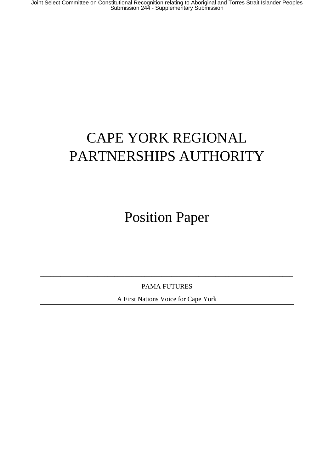# CAPE YORK REGIONAL PARTNERSHIPS AUTHORITY

Position Paper

PAMA FUTURES

\_\_\_\_\_\_\_\_\_\_\_\_\_\_\_\_\_\_\_\_\_\_\_\_\_\_\_\_\_\_\_\_\_\_\_\_\_\_\_\_\_\_\_\_\_\_\_\_\_\_\_\_\_\_\_\_\_\_\_\_\_\_\_\_\_\_\_\_\_\_\_\_\_\_\_

A First Nations Voice for Cape York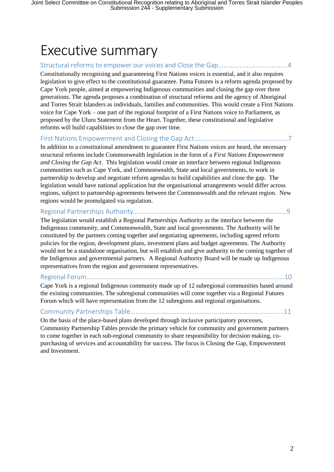# Executive summary

#### Structural reforms to empower our voices and Close the Gap.......................................4

Constitutionally recognising and guaranteeing First Nations voices is essential, and it also requires legislation to give effect to the constitutional guarantee. Pama Futures is a reform agenda proposed by Cape York people, aimed at empowering Indigenous communities and closing the gap over three generations. The agenda proposes a combination of structural reforms and the agency of Aboriginal and Torres Strait Islanders as individuals, families and communities. This would create a First Nations voice for Cape York – one part of the regional footprint of a First Nations voice to Parliament, as proposed by the Uluru Statement from the Heart. Together, these constitutional and legislative reforms will build capabilities to close the gap over time.

#### First Nations Empowerment and Closing the Gap Act…………………………………………………7

In addition to a constitutional amendment to guarantee First Nations voices are heard, the necessary structural reforms include Commonwealth legislation in the form of a *First Nations Empowerment and Closing the Gap Act*. This legislation would create an interface between regional Indigenous communities such as Cape York, and Commonwealth, State and local governments, to work in partnership to develop and negotiate reform agendas to build capabilities and close the gap. The legislation would have national application but the organisational arrangements would differ across regions, subject to partnership agreements between the Commonwealth and the relevant region. New regions would be promulgated via regulation.

#### Regional Partnerships Authority…………………………………………………………………………………9

The legislation would establish a Regional Partnerships Authority as the interface between the Indigenous community, and Commonwealth, State and local governments. The Authority will be constituted by the partners coming together and negotiating agreements, including agreed reform policies for the region, development plans, investment plans and budget agreements. The Authority would not be a standalone organisation, but will establish and give authority to the coming together of the Indigenous and governmental partners. A Regional Authority Board will be made up Indigenous representatives from the region and government representatives.

#### Regional Forum…………………………………………………………………………………………………………10

Cape York is a regional Indigenous community made up of 12 subregional communities based around the existing communities. The subregional communities will come together via a Regional Futures Forum which will have representation from the 12 subregions and regional organisations.

# Community Partnerships Table…………………………………………………………………………………11

On the basis of the place-based plans developed through inclusive participatory processes, Community Partnership Tables provide the primary vehicle for community and government partners to come together in each sub-regional community to share responsibility for decision making, copurchasing of services and accountability for success. The focus is Closing the Gap, Empowerment and Investment.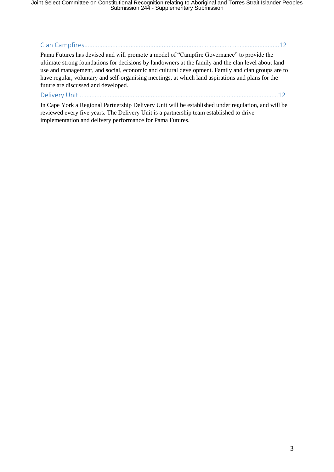Joint Select Committee on Constitutional Recognition relating to Aboriginal and Torres Strait Islander Peoples Submission 244 - Supplementary Submission

Clan Campfires……………………………………………………………………………………………………….12

Pama Futures has devised and will promote a model of "Campfire Governance" to provide the ultimate strong foundations for decisions by landowners at the family and the clan level about land use and management, and social, economic and cultural development. Family and clan groups are to have regular, voluntary and self-organising meetings, at which land aspirations and plans for the future are discussed and developed.

Delivery Unit………………………………………………….………………………………………………………12

In Cape York a Regional Partnership Delivery Unit will be established under regulation, and will be reviewed every five years. The Delivery Unit is a partnership team established to drive implementation and delivery performance for Pama Futures.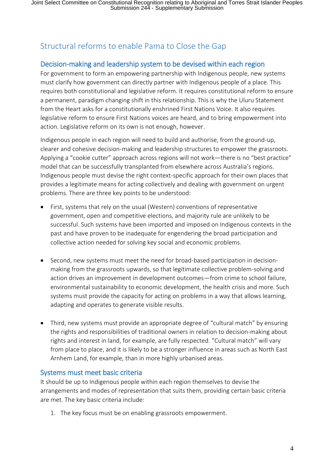# Structural reforms to enable Pama to Close the Gap

## Decision-making and leadership system to be devised within each region

For government to form an empowering partnership with Indigenous people, new systems must clarify how government can directly partner with Indigenous people of a place. This requires both constitutional and legislative reform. It requires constitutional reform to ensure a permanent, paradigm changing shift in this relationship. This is why the Uluru Statement from the Heart asks for a constitutionally enshrined First Nations Voice. It also requires legislative reform to ensure First Nations voices are heard, and to bring empowerment into action. Legislative reform on its own is not enough, however.

Indigenous people in each region will need to build and authorise, from the ground-up, clearer and cohesive decision-making and leadership structures to empower the grassroots. Applying a "cookie cutter" approach across regions will not work—there is no "best practice" model that can be successfully transplanted from elsewhere across Australia's regions. Indigenous people must devise the right context-specific approach for their own places that provides a legitimate means for acting collectively and dealing with government on urgent problems. There are three key points to be understood:

- First, systems that rely on the usual (Western) conventions of representative government, open and competitive elections, and majority rule are unlikely to be successful. Such systems have been imported and imposed on Indigenous contexts in the past and have proven to be inadequate for engendering the broad participation and collective action needed for solving key social and economic problems.
- Second, new systems must meet the need for broad-based participation in decisionmaking from the grassroots upwards, so that legitimate collective problem-solving and action drives an improvement in development outcomes—from crime to school failure, environmental sustainability to economic development, the health crisis and more. Such systems must provide the capacity for acting on problems in a way that allows learning, adapting and operates to generate visible results.
- Third, new systems must provide an appropriate degree of "cultural match" by ensuring the rights and responsibilities of traditional owners in relation to decision-making about rights and interest in land, for example, are fully respected. "Cultural match" will vary from place to place, and it is likely to be a stronger influence in areas such as North East Arnhem Land, for example, than in more highly urbanised areas.

### Systems must meet basic criteria

It should be up to Indigenous people within each region themselves to devise the arrangements and modes of representation that suits them, providing certain basic criteria are met. The key basic criteria include:

1. The key focus must be on enabling grassroots empowerment.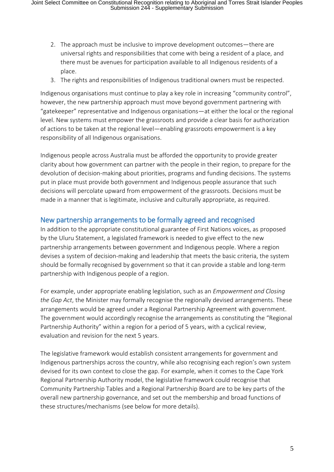- 2. The approach must be inclusive to improve development outcomes—there are universal rights and responsibilities that come with being a resident of a place, and there must be avenues for participation available to all Indigenous residents of a place.
- 3. The rights and responsibilities of Indigenous traditional owners must be respected.

Indigenous organisations must continue to play a key role in increasing "community control", however, the new partnership approach must move beyond government partnering with "gatekeeper" representative and Indigenous organisations—at either the local or the regional level. New systems must empower the grassroots and provide a clear basis for authorization of actions to be taken at the regional level—enabling grassroots empowerment is a key responsibility of all Indigenous organisations.

Indigenous people across Australia must be afforded the opportunity to provide greater clarity about how government can partner with the people in their region, to prepare for the devolution of decision-making about priorities, programs and funding decisions. The systems put in place must provide both government and Indigenous people assurance that such decisions will percolate upward from empowerment of the grassroots. Decisions must be made in a manner that is legitimate, inclusive and culturally appropriate, as required.

## New partnership arrangements to be formally agreed and recognised

In addition to the appropriate constitutional guarantee of First Nations voices, as proposed by the Uluru Statement, a legislated framework is needed to give effect to the new partnership arrangements between government and Indigenous people. Where a region devises a system of decision-making and leadership that meets the basic criteria, the system should be formally recognised by government so that it can provide a stable and long-term partnership with Indigenous people of a region.

For example, under appropriate enabling legislation, such as an *Empowerment and Closing the Gap Act*, the Minister may formally recognise the regionally devised arrangements. These arrangements would be agreed under a Regional Partnership Agreement with government. The government would accordingly recognise the arrangements as constituting the "Regional Partnership Authority" within a region for a period of 5 years, with a cyclical review, evaluation and revision for the next 5 years.

The legislative framework would establish consistent arrangements for government and Indigenous partnerships across the country, while also recognising each region's own system devised for its own context to close the gap. For example, when it comes to the Cape York Regional Partnership Authority model, the legislative framework could recognise that Community Partnership Tables and a Regional Partnership Board are to be key parts of the overall new partnership governance, and set out the membership and broad functions of these structures/mechanisms (see below for more details).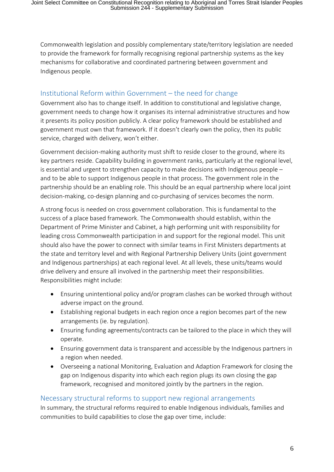Commonwealth legislation and possibly complementary state/territory legislation are needed to provide the framework for formally recognising regional partnership systems as the key mechanisms for collaborative and coordinated partnering between government and Indigenous people.

## Institutional Reform within Government – the need for change

Government also has to change itself. In addition to constitutional and legislative change, government needs to change how it organises its internal administrative structures and how it presents its policy position publicly. A clear policy framework should be established and government must own that framework. If it doesn't clearly own the policy, then its public service, charged with delivery, won't either.

Government decision-making authority must shift to reside closer to the ground, where its key partners reside. Capability building in government ranks, particularly at the regional level, is essential and urgent to strengthen capacity to make decisions with Indigenous people – and to be able to support Indigenous people in that process. The government role in the partnership should be an enabling role. This should be an equal partnership where local joint decision-making, co-design planning and co-purchasing of services becomes the norm.

A strong focus is needed on cross government collaboration. This is fundamental to the success of a place based framework. The Commonwealth should establish, within the Department of Prime Minister and Cabinet, a high performing unit with responsibility for leading cross Commonwealth participation in and support for the regional model. This unit should also have the power to connect with similar teams in First Ministers departments at the state and territory level and with Regional Partnership Delivery Units (joint government and Indigenous partnerships) at each regional level. At all levels, these units/teams would drive delivery and ensure all involved in the partnership meet their responsibilities. Responsibilities might include:

- Ensuring unintentional policy and/or program clashes can be worked through without adverse impact on the ground.
- Establishing regional budgets in each region once a region becomes part of the new arrangements (ie. by regulation).
- Ensuring funding agreements/contracts can be tailored to the place in which they will operate.
- Ensuring government data is transparent and accessible by the Indigenous partners in a region when needed.
- Overseeing a national Monitoring, Evaluation and Adaption Framework for closing the gap on Indigenous disparity into which each region plugs its own closing the gap framework, recognised and monitored jointly by the partners in the region.

## Necessary structural reforms to support new regional arrangements

In summary, the structural reforms required to enable Indigenous individuals, families and communities to build capabilities to close the gap over time, include: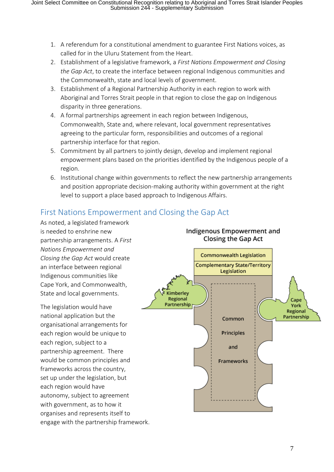- 1. A referendum for a constitutional amendment to guarantee First Nations voices, as called for in the Uluru Statement from the Heart.
- 2. Establishment of a legislative framework, a *First Nations Empowerment and Closing the Gap Act*, to create the interface between regional Indigenous communities and the Commonwealth, state and local levels of government.
- 3. Establishment of a Regional Partnership Authority in each region to work with Aboriginal and Torres Strait people in that region to close the gap on Indigenous disparity in three generations.
- 4. A formal partnerships agreement in each region between Indigenous, Commonwealth, State and, where relevant, local government representatives agreeing to the particular form, responsibilities and outcomes of a regional partnership interface for that region.
- 5. Commitment by all partners to jointly design, develop and implement regional empowerment plans based on the priorities identified by the Indigenous people of a region.
- 6. Institutional change within governments to reflect the new partnership arrangements and position appropriate decision-making authority within government at the right level to support a place based approach to Indigenous Affairs.

# First Nations Empowerment and Closing the Gap Act

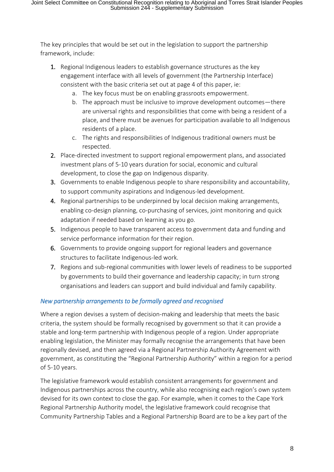The key principles that would be set out in the legislation to support the partnership framework, include:

- 1. Regional Indigenous leaders to establish governance structures as the key engagement interface with all levels of government (the Partnership Interface) consistent with the basic criteria set out at page 4 of this paper, ie:
	- a. The key focus must be on enabling grassroots empowerment.
	- b. The approach must be inclusive to improve development outcomes—there are universal rights and responsibilities that come with being a resident of a place, and there must be avenues for participation available to all Indigenous residents of a place.
	- c. The rights and responsibilities of Indigenous traditional owners must be respected.
- 2. Place-directed investment to support regional empowerment plans, and associated investment plans of 5-10 years duration for social, economic and cultural development, to close the gap on Indigenous disparity.
- 3. Governments to enable Indigenous people to share responsibility and accountability, to support community aspirations and Indigenous-led development.
- 4. Regional partnerships to be underpinned by local decision making arrangements, enabling co-design planning, co-purchasing of services, joint monitoring and quick adaptation if needed based on learning as you go.
- 5. Indigenous people to have transparent access to government data and funding and service performance information for their region.
- 6. Governments to provide ongoing support for regional leaders and governance structures to facilitate Indigenous-led work.
- 7. Regions and sub-regional communities with lower levels of readiness to be supported by governments to build their governance and leadership capacity; in turn strong organisations and leaders can support and build individual and family capability.

## *New partnership arrangements to be formally agreed and recognised*

Where a region devises a system of decision-making and leadership that meets the basic criteria, the system should be formally recognised by government so that it can provide a stable and long-term partnership with Indigenous people of a region. Under appropriate enabling legislation, the Minister may formally recognise the arrangements that have been regionally devised, and then agreed via a Regional Partnership Authority Agreement with government, as constituting the "Regional Partnership Authority" within a region for a period of 5-10 years.

The legislative framework would establish consistent arrangements for government and Indigenous partnerships across the country, while also recognising each region's own system devised for its own context to close the gap. For example, when it comes to the Cape York Regional Partnership Authority model, the legislative framework could recognise that Community Partnership Tables and a Regional Partnership Board are to be a key part of the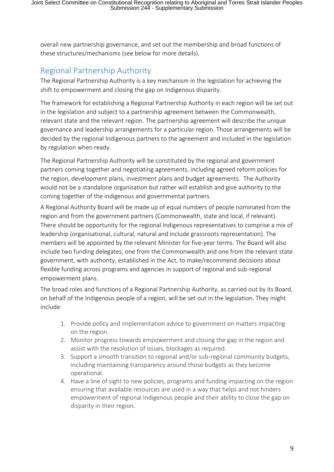overall new partnership governance, and set out the membership and broad functions of these structures/mechanisms (see below for more details).

# Regional Partnership Authority

The Regional Partnership Authority is a key mechanism in the legislation for achieving the shift to empowerment and closing the gap on Indigenous disparity.

The framework for establishing a Regional Partnership Authority in each region will be set out in the legislation and subject to a partnership agreement between the Commonwealth, relevant state and the relevant region. The partnership agreement will describe the unique governance and leadership arrangements for a particular region. Those arrangements will be decided by the regional Indigenous partners to the agreement and included in the legislation by regulation when ready.

The Regional Partnership Authority will be constituted by the regional and government partners coming together and negotiating agreements, including agreed reform policies for the region, development plans, investment plans and budget agreements. The Authority would not be a standalone organisation but rather will establish and give authority to the coming together of the indigenous and governmental partners.

A Regional Authority Board will be made up of equal numbers of people nominated from the region and from the government partners (Commonwealth, state and local, if relevant). There should be opportunity for the regional Indigenous representatives to comprise a mix of leadership (organisational, cultural, natural and include grassroots representation). The members will be appointed by the relevant Minister for five-year terms. The Board will also include two funding delegates, one from the Commonwealth and one from the relevant state government, with authority, established in the Act, to make/recommend decisions about flexible funding across programs and agencies in support of regional and sub-regional empowerment plans.

The broad roles and functions of a Regional Partnership Authority, as carried out by its Board, on behalf of the Indigenous people of a region, will be set out in the legislation. They might include:

- 1. Provide policy and implementation advice to government on matters impacting on the region.
- 2. Monitor progress towards empowerment and closing the gap in the region and assist with the resolution of issues, blockages as required.
- 3. Support a smooth transition to regional and/or sub-regional community budgets, including maintaining transparency around those budgets as they become operational.
- 4. Have a line of sight to new policies, programs and funding impacting on the region ensuring that available resources are used in a way that helps and not hinders empowerment of regional Indigenous people and their ability to close the gap on disparity in their region.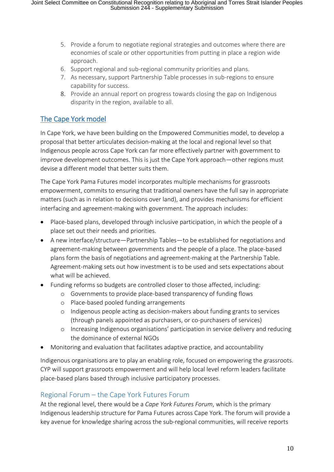- 5. Provide a forum to negotiate regional strategies and outcomes where there are economies of scale or other opportunities from putting in place a region wide approach.
- 6. Support regional and sub-regional community priorities and plans.
- 7. As necessary, support Partnership Table processes in sub-regions to ensure capability for success.
- 8. Provide an annual report on progress towards closing the gap on Indigenous disparity in the region, available to all.

## The Cape York model

In Cape York, we have been building on the Empowered Communities model, to develop a proposal that better articulates decision-making at the local and regional level so that Indigenous people across Cape York can far more effectively partner with government to improve development outcomes. This is just the Cape York approach—other regions must devise a different model that better suits them.

The Cape York Pama Futures model incorporates multiple mechanisms for grassroots empowerment, commits to ensuring that traditional owners have the full say in appropriate matters (such as in relation to decisions over land), and provides mechanisms for efficient interfacing and agreement-making with government. The approach includes:

- Place-based plans, developed through inclusive participation, in which the people of a place set out their needs and priorities.
- A new interface/structure—Partnership Tables—to be established for negotiations and agreement-making between governments and the people of a place. The place-based plans form the basis of negotiations and agreement-making at the Partnership Table. Agreement-making sets out how investment is to be used and sets expectations about what will be achieved.
- Funding reforms so budgets are controlled closer to those affected, including:
	- o Governments to provide place-based transparency of funding flows
	- o Place-based pooled funding arrangements
	- o Indigenous people acting as decision-makers about funding grants to services (through panels appointed as purchasers, or co-purchasers of services)
	- o Increasing Indigenous organisations' participation in service delivery and reducing the dominance of external NGOs
- Monitoring and evaluation that facilitates adaptive practice, and accountability

Indigenous organisations are to play an enabling role, focused on empowering the grassroots. CYP will support grassroots empowerment and will help local level reform leaders facilitate place-based plans based through inclusive participatory processes.

## Regional Forum – the Cape York Futures Forum

At the regional level, there would be a *Cape York Futures Forum*, which is the primary Indigenous leadership structure for Pama Futures across Cape York. The forum will provide a key avenue for knowledge sharing across the sub-regional communities, will receive reports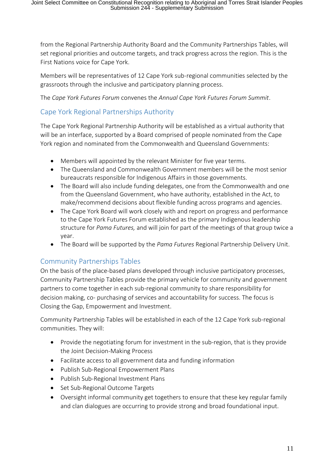from the Regional Partnership Authority Board and the Community Partnerships Tables, will set regional priorities and outcome targets, and track progress across the region. This is the First Nations voice for Cape York.

Members will be representatives of 12 Cape York sub-regional communities selected by the grassroots through the inclusive and participatory planning process.

The *Cape York Futures Forum* convenes the *Annual Cape York Futures Forum Summit*.

## Cape York Regional Partnerships Authority

The Cape York Regional Partnership Authority will be established as a virtual authority that will be an interface, supported by a Board comprised of people nominated from the Cape York region and nominated from the Commonwealth and Queensland Governments:

- Members will appointed by the relevant Minister for five year terms.
- The Queensland and Commonwealth Government members will be the most senior bureaucrats responsible for Indigenous Affairs in those governments.
- The Board will also include funding delegates, one from the Commonwealth and one from the Queensland Government, who have authority, established in the Act, to make/recommend decisions about flexible funding across programs and agencies.
- The Cape York Board will work closely with and report on progress and performance to the Cape York Futures Forum established as the primary Indigenous leadership structure for *Pama Futures,* and will join for part of the meetings of that group twice a year.
- The Board will be supported by the *Pama Futures* Regional Partnership Delivery Unit.

## Community Partnerships Tables

On the basis of the place-based plans developed through inclusive participatory processes, Community Partnership Tables provide the primary vehicle for community and government partners to come together in each sub-regional community to share responsibility for decision making, co- purchasing of services and accountability for success. The focus is Closing the Gap, Empowerment and Investment.

Community Partnership Tables will be established in each of the 12 Cape York sub-regional communities. They will:

- Provide the negotiating forum for investment in the sub-region, that is they provide the Joint Decision-Making Process
- Facilitate access to all government data and funding information
- Publish Sub-Regional Empowerment Plans
- Publish Sub-Regional Investment Plans
- Set Sub-Regional Outcome Targets
- Oversight informal community get togethers to ensure that these key regular family and clan dialogues are occurring to provide strong and broad foundational input.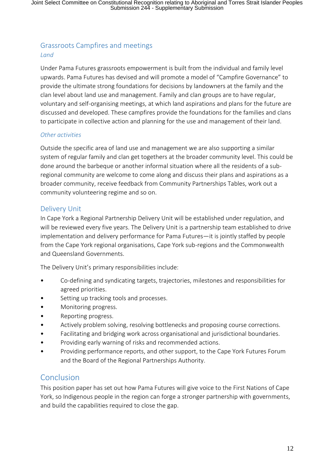## Grassroots Campfires and meetings *Land*

Under Pama Futures grassroots empowerment is built from the individual and family level upwards. Pama Futures has devised and will promote a model of "Campfire Governance" to provide the ultimate strong foundations for decisions by landowners at the family and the clan level about land use and management. Family and clan groups are to have regular, voluntary and self-organising meetings, at which land aspirations and plans for the future are discussed and developed. These campfires provide the foundations for the families and clans to participate in collective action and planning for the use and management of their land.

### *Other activities*

Outside the specific area of land use and management we are also supporting a similar system of regular family and clan get togethers at the broader community level. This could be done around the barbeque or another informal situation where all the residents of a subregional community are welcome to come along and discuss their plans and aspirations as a broader community, receive feedback from Community Partnerships Tables, work out a community volunteering regime and so on.

## Delivery Unit

In Cape York a Regional Partnership Delivery Unit will be established under regulation, and will be reviewed every five years. The Delivery Unit is a partnership team established to drive implementation and delivery performance for Pama Futures—it is jointly staffed by people from the Cape York regional organisations, Cape York sub-regions and the Commonwealth and Queensland Governments.

The Delivery Unit's primary responsibilities include:

- Co-defining and syndicating targets, trajectories, milestones and responsibilities for agreed priorities.
- Setting up tracking tools and processes.
- Monitoring progress.
- Reporting progress.
- Actively problem solving, resolving bottlenecks and proposing course corrections.
- Facilitating and bridging work across organisational and jurisdictional boundaries.
- Providing early warning of risks and recommended actions.
- Providing performance reports, and other support, to the Cape York Futures Forum and the Board of the Regional Partnerships Authority.

## Conclusion

This position paper has set out how Pama Futures will give voice to the First Nations of Cape York, so Indigenous people in the region can forge a stronger partnership with governments, and build the capabilities required to close the gap.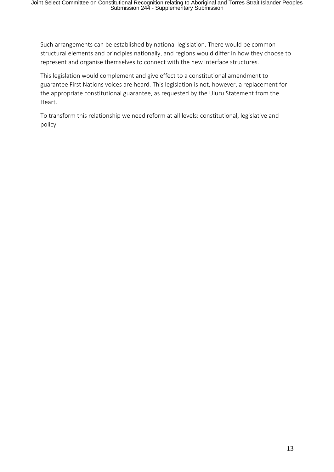Such arrangements can be established by national legislation. There would be common structural elements and principles nationally, and regions would differ in how they choose to represent and organise themselves to connect with the new interface structures.

This legislation would complement and give effect to a constitutional amendment to guarantee First Nations voices are heard. This legislation is not, however, a replacement for the appropriate constitutional guarantee, as requested by the Uluru Statement from the Heart.

To transform this relationship we need reform at all levels: constitutional, legislative and policy.